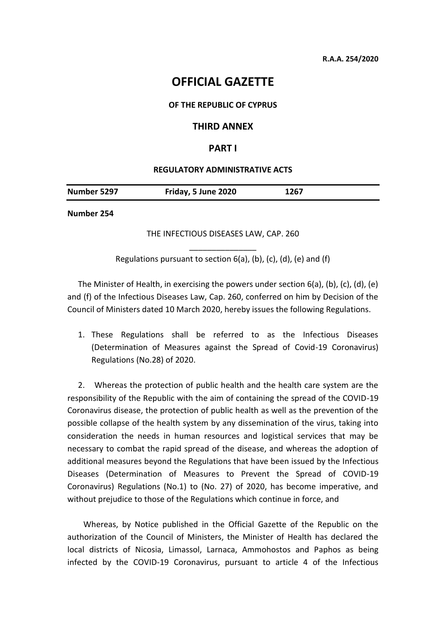# **OFFICIAL GAZETTE**

#### **OF THE REPUBLIC OF CYPRUS**

### **THIRD ANNEX**

## **PART I**

#### **REGULATORY ADMINISTRATIVE ACTS**

| Number 5297 | Friday, 5 June 2020 | 1267 |
|-------------|---------------------|------|
|             |                     |      |

**Number 254**

THE INFECTIOUS DISEASES LAW, CAP. 260

\_\_\_\_\_\_\_\_\_\_\_\_\_\_\_ Regulations pursuant to section  $6(a)$ ,  $(b)$ ,  $(c)$ ,  $(d)$ ,  $(e)$  and  $(f)$ 

The Minister of Health, in exercising the powers under section 6(a), (b), (c), (d), (e) and (f) of the Infectious Diseases Law, Cap. 260, conferred on him by Decision of the Council of Ministers dated 10 March 2020, hereby issues the following Regulations.

1. These Regulations shall be referred to as the Infectious Diseases (Determination of Measures against the Spread of Covid-19 Coronavirus) Regulations (No.28) of 2020.

2. Whereas the protection of public health and the health care system are the responsibility of the Republic with the aim of containing the spread of the COVID-19 Coronavirus disease, the protection of public health as well as the prevention of the possible collapse of the health system by any dissemination of the virus, taking into consideration the needs in human resources and logistical services that may be necessary to combat the rapid spread of the disease, and whereas the adoption of additional measures beyond the Regulations that have been issued by the Infectious Diseases (Determination of Measures to Prevent the Spread of COVID-19 Coronavirus) Regulations (No.1) to (No. 27) of 2020, has become imperative, and without prejudice to those of the Regulations which continue in force, and

Whereas, by Notice published in the Official Gazette of the Republic on the authorization of the Council of Ministers, the Minister of Health has declared the local districts of Nicosia, Limassol, Larnaca, Ammohostos and Paphos as being infected by the COVID-19 Coronavirus, pursuant to article 4 of the Infectious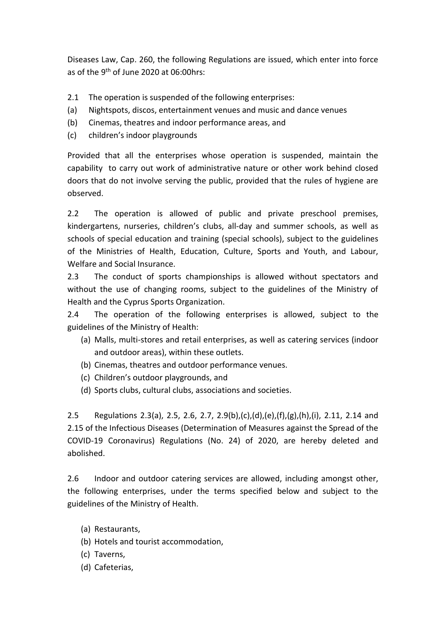Diseases Law, Cap. 260, the following Regulations are issued, which enter into force as of the 9th of June 2020 at 06:00hrs:

- 2.1 The operation is suspended of the following enterprises:
- (a) Nightspots, discos, entertainment venues and music and dance venues
- (b) Cinemas, theatres and indoor performance areas, and
- (c) children's indoor playgrounds

Provided that all the enterprises whose operation is suspended, maintain the capability to carry out work of administrative nature or other work behind closed doors that do not involve serving the public, provided that the rules of hygiene are observed.

2.2 The operation is allowed of public and private preschool premises, kindergartens, nurseries, children's clubs, all-day and summer schools, as well as schools of special education and training (special schools), subject to the guidelines of the Ministries of Health, Education, Culture, Sports and Youth, and Labour, Welfare and Social Insurance.

2.3 The conduct of sports championships is allowed without spectators and without the use of changing rooms, subject to the guidelines of the Ministry of Health and the Cyprus Sports Organization.

2.4 The operation of the following enterprises is allowed, subject to the guidelines of the Ministry of Health:

- (a) Malls, multi-stores and retail enterprises, as well as catering services (indoor and outdoor areas), within these outlets.
- (b) Cinemas, theatres and outdoor performance venues.
- (c) Children's outdoor playgrounds, and
- (d) Sports clubs, cultural clubs, associations and societies.

2.5 Regulations 2.3(a), 2.5, 2.6, 2.7, 2.9(b),(c),(d),(e),(f),(g),(h),(i), 2.11, 2.14 and 2.15 of the Infectious Diseases (Determination of Measures against the Spread of the COVID-19 Coronavirus) Regulations (No. 24) of 2020, are hereby deleted and abolished.

2.6 Indoor and outdoor catering services are allowed, including amongst other, the following enterprises, under the terms specified below and subject to the guidelines of the Ministry of Health.

- (a) Restaurants,
- (b) Hotels and tourist accommodation,
- (c) Taverns,
- (d) Cafeterias,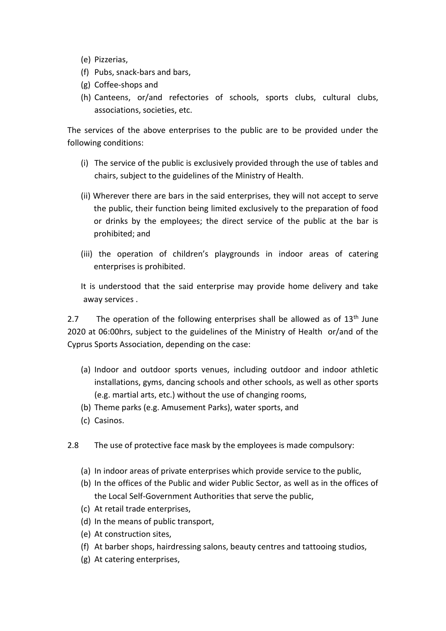- (e) Pizzerias,
- (f) Pubs, snack-bars and bars,
- (g) Coffee-shops and
- (h) Canteens, or/and refectories of schools, sports clubs, cultural clubs, associations, societies, etc.

The services of the above enterprises to the public are to be provided under the following conditions:

- (i) The service of the public is exclusively provided through the use of tables and chairs, subject to the guidelines of the Ministry of Health.
- (ii) Wherever there are bars in the said enterprises, they will not accept to serve the public, their function being limited exclusively to the preparation of food or drinks by the employees; the direct service of the public at the bar is prohibited; and
- (iii) the operation of children's playgrounds in indoor areas of catering enterprises is prohibited.

It is understood that the said enterprise may provide home delivery and take away services .

2.7 The operation of the following enterprises shall be allowed as of  $13<sup>th</sup>$  June 2020 at 06:00hrs, subject to the guidelines of the Ministry of Health or/and of the Cyprus Sports Association, depending on the case:

- (a) Indoor and outdoor sports venues, including outdoor and indoor athletic installations, gyms, dancing schools and other schools, as well as other sports (e.g. martial arts, etc.) without the use of changing rooms,
- (b) Theme parks (e.g. Amusement Parks), water sports, and
- (c) Casinos.
- 2.8 The use of protective face mask by the employees is made compulsory:
	- (a) In indoor areas of private enterprises which provide service to the public,
	- (b) In the offices of the Public and wider Public Sector, as well as in the offices of the Local Self-Government Authorities that serve the public,
	- (c) At retail trade enterprises,
	- (d) In the means of public transport,
	- (e) At construction sites,
	- (f) At barber shops, hairdressing salons, beauty centres and tattooing studios,
	- (g) At catering enterprises,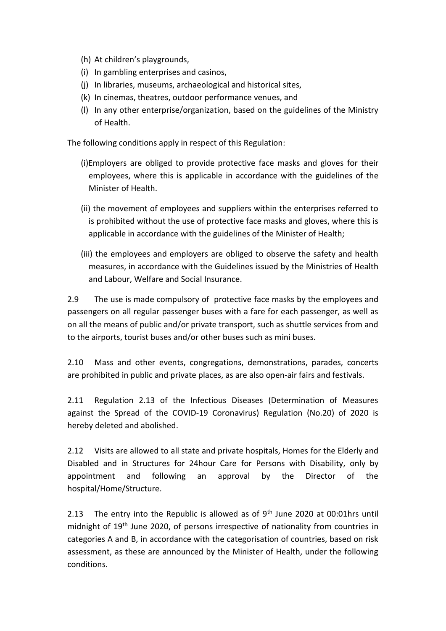- (h) At children's playgrounds,
- (i) In gambling enterprises and casinos,
- (j) In libraries, museums, archaeological and historical sites,
- (k) In cinemas, theatres, outdoor performance venues, and
- (l) In any other enterprise/organization, based on the guidelines of the Ministry of Health.

The following conditions apply in respect of this Regulation:

- (i)Employers are obliged to provide protective face masks and gloves for their employees, where this is applicable in accordance with the guidelines of the Minister of Health.
- (ii) the movement of employees and suppliers within the enterprises referred to is prohibited without the use of protective face masks and gloves, where this is applicable in accordance with the guidelines of the Minister of Health;
- (iii) the employees and employers are obliged to observe the safety and health measures, in accordance with the Guidelines issued by the Ministries of Health and Labour, Welfare and Social Insurance.

2.9 The use is made compulsory of protective face masks by the employees and passengers on all regular passenger buses with a fare for each passenger, as well as on all the means of public and/or private transport, such as shuttle services from and to the airports, tourist buses and/or other buses such as mini buses.

2.10 Mass and other events, congregations, demonstrations, parades, concerts are prohibited in public and private places, as are also open-air fairs and festivals.

2.11 Regulation 2.13 of the Infectious Diseases (Determination of Measures against the Spread of the COVID-19 Coronavirus) Regulation (No.20) of 2020 is hereby deleted and abolished.

2.12 Visits are allowed to all state and private hospitals, Homes for the Elderly and Disabled and in Structures for 24hour Care for Persons with Disability, only by appointment and following an approval by the Director of the hospital/Home/Structure.

2.13 The entry into the Republic is allowed as of  $9<sup>th</sup>$  June 2020 at 00:01hrs until midnight of 19th June 2020, of persons irrespective of nationality from countries in categories A and B, in accordance with the categorisation of countries, based on risk assessment, as these are announced by the Minister of Health, under the following conditions.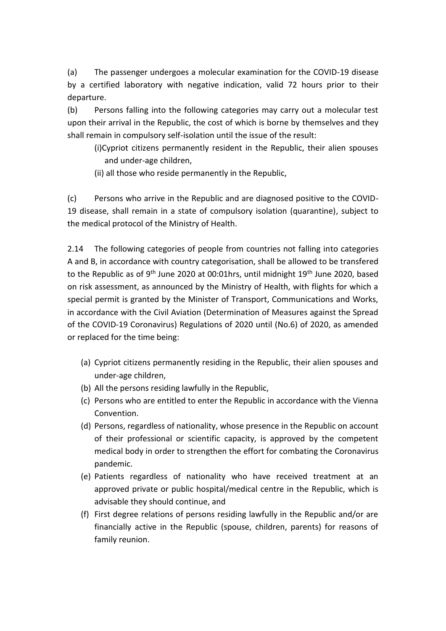(a) The passenger undergoes a molecular examination for the COVID-19 disease by a certified laboratory with negative indication, valid 72 hours prior to their departure.

(b) Persons falling into the following categories may carry out a molecular test upon their arrival in the Republic, the cost of which is borne by themselves and they shall remain in compulsory self-isolation until the issue of the result:

- (i)Cypriot citizens permanently resident in the Republic, their alien spouses and under-age children,
- (ii) all those who reside permanently in the Republic,

(c) Persons who arrive in the Republic and are diagnosed positive to the COVID-19 disease, shall remain in a state of compulsory isolation (quarantine), subject to the medical protocol of the Ministry of Health.

2.14 The following categories of people from countries not falling into categories A and B, in accordance with country categorisation, shall be allowed to be transfered to the Republic as of  $9<sup>th</sup>$  June 2020 at 00:01hrs, until midnight 19<sup>th</sup> June 2020, based on risk assessment, as announced by the Ministry of Health, with flights for which a special permit is granted by the Minister of Transport, Communications and Works, in accordance with the Civil Aviation (Determination of Measures against the Spread of the COVID-19 Coronavirus) Regulations of 2020 until (No.6) of 2020, as amended or replaced for the time being:

- (a) Cypriot citizens permanently residing in the Republic, their alien spouses and under-age children,
- (b) All the persons residing lawfully in the Republic,
- (c) Persons who are entitled to enter the Republic in accordance with the Vienna Convention.
- (d) Persons, regardless of nationality, whose presence in the Republic on account of their professional or scientific capacity, is approved by the competent medical body in order to strengthen the effort for combating the Coronavirus pandemic.
- (e) Patients regardless of nationality who have received treatment at an approved private or public hospital/medical centre in the Republic, which is advisable they should continue, and
- (f) First degree relations of persons residing lawfully in the Republic and/or are financially active in the Republic (spouse, children, parents) for reasons of family reunion.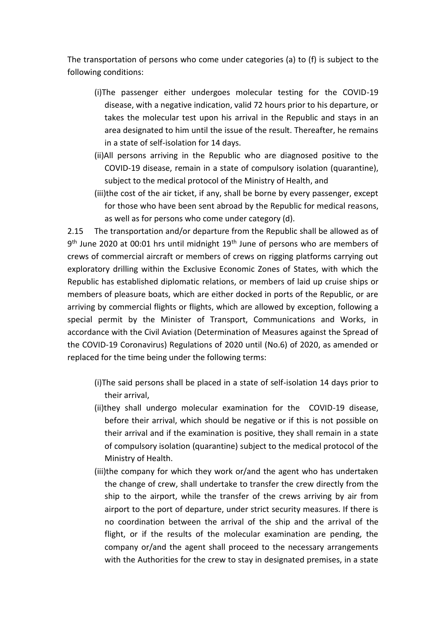The transportation of persons who come under categories (a) to (f) is subject to the following conditions:

- (i)The passenger either undergoes molecular testing for the COVID-19 disease, with a negative indication, valid 72 hours prior to his departure, or takes the molecular test upon his arrival in the Republic and stays in an area designated to him until the issue of the result. Thereafter, he remains in a state of self-isolation for 14 days.
- (ii)All persons arriving in the Republic who are diagnosed positive to the COVID-19 disease, remain in a state of compulsory isolation (quarantine), subject to the medical protocol of the Ministry of Health, and
- (iii)the cost of the air ticket, if any, shall be borne by every passenger, except for those who have been sent abroad by the Republic for medical reasons, as well as for persons who come under category (d).

2.15 The transportation and/or departure from the Republic shall be allowed as of 9<sup>th</sup> June 2020 at 00:01 hrs until midnight 19<sup>th</sup> June of persons who are members of crews of commercial aircraft or members of crews on rigging platforms carrying out exploratory drilling within the Exclusive Economic Zones of States, with which the Republic has established diplomatic relations, or members of laid up cruise ships or members of pleasure boats, which are either docked in ports of the Republic, or are arriving by commercial flights or flights, which are allowed by exception, following a special permit by the Minister of Transport, Communications and Works, in accordance with the Civil Aviation (Determination of Measures against the Spread of the COVID-19 Coronavirus) Regulations of 2020 until (No.6) of 2020, as amended or replaced for the time being under the following terms:

- (i)The said persons shall be placed in a state of self-isolation 14 days prior to their arrival,
- (ii)they shall undergo molecular examination for the COVID-19 disease, before their arrival, which should be negative or if this is not possible on their arrival and if the examination is positive, they shall remain in a state of compulsory isolation (quarantine) subject to the medical protocol of the Ministry of Health.
- (iii)the company for which they work or/and the agent who has undertaken the change of crew, shall undertake to transfer the crew directly from the ship to the airport, while the transfer of the crews arriving by air from airport to the port of departure, under strict security measures. If there is no coordination between the arrival of the ship and the arrival of the flight, or if the results of the molecular examination are pending, the company or/and the agent shall proceed to the necessary arrangements with the Authorities for the crew to stay in designated premises, in a state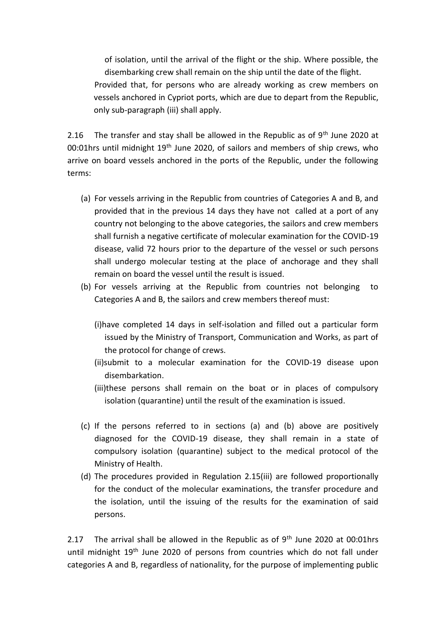of isolation, until the arrival of the flight or the ship. Where possible, the disembarking crew shall remain on the ship until the date of the flight. Provided that, for persons who are already working as crew members on vessels anchored in Cypriot ports, which are due to depart from the Republic, only sub-paragraph (iii) shall apply.

2.16 The transfer and stay shall be allowed in the Republic as of  $9<sup>th</sup>$  June 2020 at 00:01hrs until midnight 19<sup>th</sup> June 2020, of sailors and members of ship crews, who arrive on board vessels anchored in the ports of the Republic, under the following terms:

- (a) For vessels arriving in the Republic from countries of Categories A and B, and provided that in the previous 14 days they have not called at a port of any country not belonging to the above categories, the sailors and crew members shall furnish a negative certificate of molecular examination for the COVID-19 disease, valid 72 hours prior to the departure of the vessel or such persons shall undergo molecular testing at the place of anchorage and they shall remain on board the vessel until the result is issued.
- (b) For vessels arriving at the Republic from countries not belonging to Categories A and B, the sailors and crew members thereof must:
	- (i)have completed 14 days in self-isolation and filled out a particular form issued by the Ministry of Transport, Communication and Works, as part of the protocol for change of crews.
	- (ii)submit to a molecular examination for the COVID-19 disease upon disembarkation.
	- (iii)these persons shall remain on the boat or in places of compulsory isolation (quarantine) until the result of the examination is issued.
- (c) If the persons referred to in sections (a) and (b) above are positively diagnosed for the COVID-19 disease, they shall remain in a state of compulsory isolation (quarantine) subject to the medical protocol of the Ministry of Health.
- (d) The procedures provided in Regulation 2.15(iii) are followed proportionally for the conduct of the molecular examinations, the transfer procedure and the isolation, until the issuing of the results for the examination of said persons.

2.17 The arrival shall be allowed in the Republic as of  $9<sup>th</sup>$  June 2020 at 00:01hrs until midnight 19<sup>th</sup> June 2020 of persons from countries which do not fall under categories A and B, regardless of nationality, for the purpose of implementing public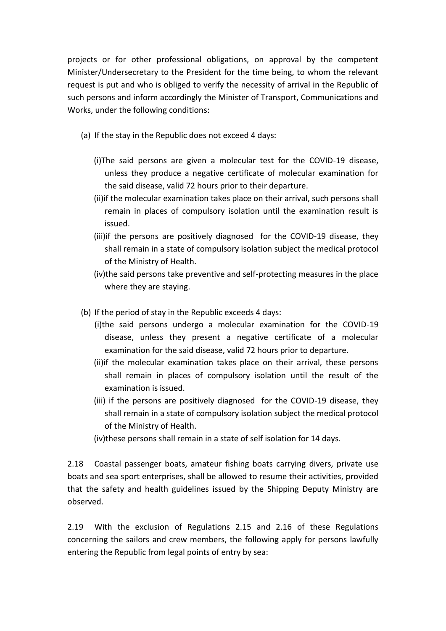projects or for other professional obligations, on approval by the competent Minister/Undersecretary to the President for the time being, to whom the relevant request is put and who is obliged to verify the necessity of arrival in the Republic of such persons and inform accordingly the Minister of Transport, Communications and Works, under the following conditions:

- (a) If the stay in the Republic does not exceed 4 days:
	- (i)The said persons are given a molecular test for the COVID-19 disease, unless they produce a negative certificate of molecular examination for the said disease, valid 72 hours prior to their departure.
	- (ii)if the molecular examination takes place on their arrival, such persons shall remain in places of compulsory isolation until the examination result is issued.
	- (iii)if the persons are positively diagnosed for the COVID-19 disease, they shall remain in a state of compulsory isolation subject the medical protocol of the Ministry of Health.
	- (iv)the said persons take preventive and self-protecting measures in the place where they are staying.
- (b) If the period of stay in the Republic exceeds 4 days:
	- (i)the said persons undergo a molecular examination for the COVID-19 disease, unless they present a negative certificate of a molecular examination for the said disease, valid 72 hours prior to departure.
	- (ii)if the molecular examination takes place on their arrival, these persons shall remain in places of compulsory isolation until the result of the examination is issued.
	- (iii) if the persons are positively diagnosed for the COVID-19 disease, they shall remain in a state of compulsory isolation subject the medical protocol of the Ministry of Health.
	- (iv)these persons shall remain in a state of self isolation for 14 days.

2.18 Coastal passenger boats, amateur fishing boats carrying divers, private use boats and sea sport enterprises, shall be allowed to resume their activities, provided that the safety and health guidelines issued by the Shipping Deputy Ministry are observed.

2.19 With the exclusion of Regulations 2.15 and 2.16 of these Regulations concerning the sailors and crew members, the following apply for persons lawfully entering the Republic from legal points of entry by sea: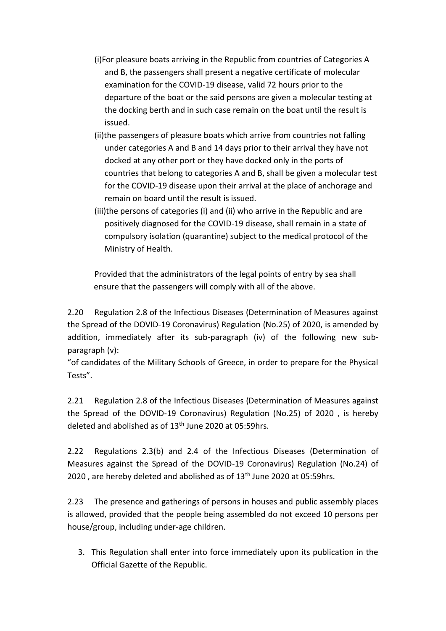- (i)For pleasure boats arriving in the Republic from countries of Categories A and B, the passengers shall present a negative certificate of molecular examination for the COVID-19 disease, valid 72 hours prior to the departure of the boat or the said persons are given a molecular testing at the docking berth and in such case remain on the boat until the result is issued.
- (ii)the passengers of pleasure boats which arrive from countries not falling under categories A and B and 14 days prior to their arrival they have not docked at any other port or they have docked only in the ports of countries that belong to categories A and B, shall be given a molecular test for the COVID-19 disease upon their arrival at the place of anchorage and remain on board until the result is issued.
- (iii)the persons of categories (i) and (ii) who arrive in the Republic and are positively diagnosed for the COVID-19 disease, shall remain in a state of compulsory isolation (quarantine) subject to the medical protocol of the Ministry of Health.

Provided that the administrators of the legal points of entry by sea shall ensure that the passengers will comply with all of the above.

2.20 Regulation 2.8 of the Infectious Diseases (Determination of Measures against the Spread of the DOVID-19 Coronavirus) Regulation (No.25) of 2020, is amended by addition, immediately after its sub-paragraph (iv) of the following new subparagraph (v):

"of candidates of the Military Schools of Greece, in order to prepare for the Physical Tests".

2.21 Regulation 2.8 of the Infectious Diseases (Determination of Measures against the Spread of the DOVID-19 Coronavirus) Regulation (No.25) of 2020 , is hereby deleted and abolished as of  $13<sup>th</sup>$  June 2020 at 05:59hrs.

2.22 Regulations 2.3(b) and 2.4 of the Infectious Diseases (Determination of Measures against the Spread of the DOVID-19 Coronavirus) Regulation (No.24) of 2020, are hereby deleted and abolished as of 13<sup>th</sup> June 2020 at 05:59hrs.

2.23 The presence and gatherings of persons in houses and public assembly places is allowed, provided that the people being assembled do not exceed 10 persons per house/group, including under-age children.

3. This Regulation shall enter into force immediately upon its publication in the Official Gazette of the Republic.